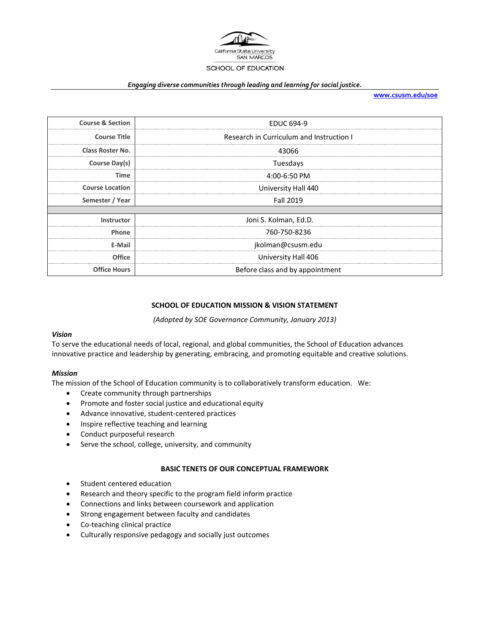

## *Engaging diverse communities through leading and learning for social justice.*

**[www.csusm.edu/soe](http://www.csusm.edu/soe)**

| <b>Course &amp; Section</b> | <b>EDUC 694-9</b>                        |
|-----------------------------|------------------------------------------|
| <b>Course Title</b>         | Research in Curriculum and Instruction I |
| <b>Class Roster No.</b>     | 43066                                    |
| Course Day(s)               | Tuesdays                                 |
| Time                        | 4:00-6:50 PM                             |
| <b>Course Location</b>      | University Hall 440                      |
| Semester / Year             | <b>Fall 2019</b>                         |
|                             |                                          |
| Instructor                  | Joni S. Kolman, Ed.D.                    |
| Phone                       | 760-750-8236                             |
| E-Mail                      | jkolman@csusm.edu                        |
| <b>Office</b>               | University Hall 406                      |
| <b>Office Hours</b>         | Before class and by appointment          |

#### **SCHOOL OF EDUCATION MISSION & VISION STATEMENT**

*(Adopted by SOE Governance Community, January 2013)*

#### *Vision*

To serve the educational needs of local, regional, and global communities, the School of Education advances innovative practice and leadership by generating, embracing, and promoting equitable and creative solutions.

#### *Mission*

The mission of the School of Education community is to collaboratively transform education. We:

- Create community through partnerships
- Promote and foster social justice and educational equity
- Advance innovative, student-centered practices
- Inspire reflective teaching and learning
- Conduct purposeful research
- Serve the school, college, university, and community

#### **BASIC TENETS OF OUR CONCEPTUAL FRAMEWORK**

- Student centered education
- Research and theory specific to the program field inform practice
- Connections and links between coursework and application
- Strong engagement between faculty and candidates
- Co-teaching clinical practice
- Culturally responsive pedagogy and socially just outcomes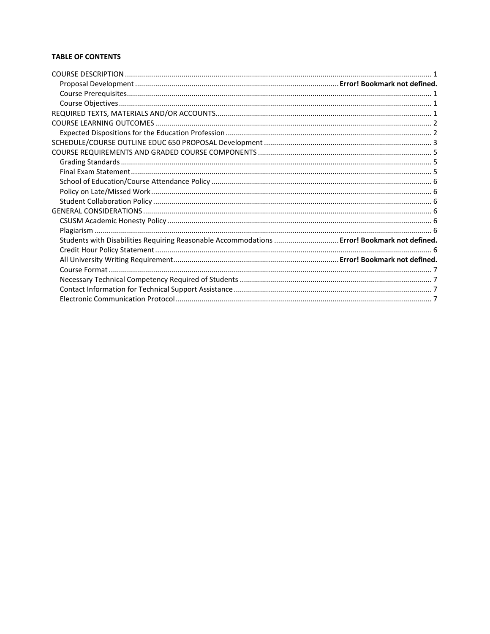## **TABLE OF CONTENTS**

| Students with Disabilities Requiring Reasonable Accommodations  Error! Bookmark not defined. |  |
|----------------------------------------------------------------------------------------------|--|
|                                                                                              |  |
|                                                                                              |  |
|                                                                                              |  |
|                                                                                              |  |
|                                                                                              |  |
|                                                                                              |  |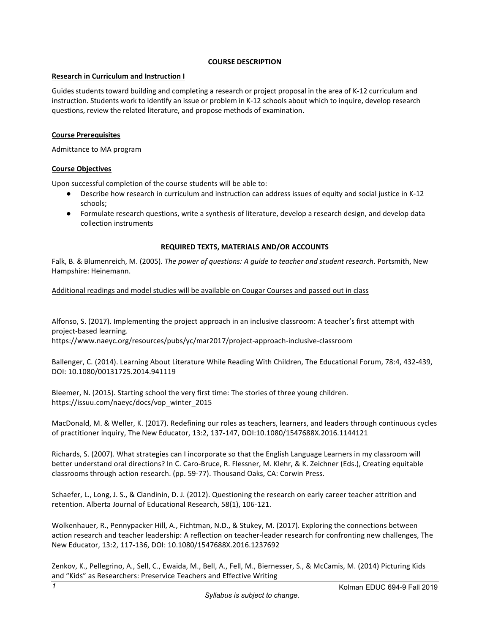#### **COURSE DESCRIPTION**

## <span id="page-2-1"></span><span id="page-2-0"></span>**Research in Curriculum and Instruction I**

Guides students toward building and completing a research or project proposal in the area of K-12 curriculum and instruction. Students work to identify an issue or problem in K-12 schools about which to inquire, develop research questions, review the related literature, and propose methods of examination.

#### **Course Prerequisites**

Admittance to MA program

## <span id="page-2-2"></span>**Course Objectives**

Upon successful completion of the course students will be able to:

- Describe how research in curriculum and instruction can address issues of equity and social justice in K-12 schools;
- Formulate research questions, write a synthesis of literature, develop a research design, and develop data collection instruments

## **REQUIRED TEXTS, MATERIALS AND/OR ACCOUNTS**

<span id="page-2-3"></span>Falk, B. & Blumenreich, M. (2005). *The power of questions: A guide to teacher and student research*. Portsmith, New Hampshire: Heinemann.

Additional readings and model studies will be available on Cougar Courses and passed out in class

Alfonso, S. (2017). Implementing the project approach in an inclusive classroom: A teacher's first attempt with project-based learning. https://www.naeyc.org/resources/pubs/yc/mar2017/project-approach-inclusive-classroom

Ballenger, C. (2014). Learning About Literature While Reading With Children, The Educational Forum, 78:4, 432-439, DOI: 10.1080/00131725.2014.941119

Bleemer, N. (2015). Starting school the very first time: The stories of three young children. https://issuu.com/naeyc/docs/vop\_winter\_2015

MacDonald, M. & Weller, K. (2017). Redefining our roles as teachers, learners, and leaders through continuous cycles of practitioner inquiry, The New Educator, 13:2, 137-147, DOI:10.1080/1547688X.2016.1144121

Richards, S. (2007). What strategies can I incorporate so that the English Language Learners in my classroom will better understand oral directions? In C. Caro-Bruce, R. Flessner, M. Klehr, & K. Zeichner (Eds.), Creating equitable classrooms through action research. (pp. 59-77). Thousand Oaks, CA: Corwin Press.

Schaefer, L., Long, J. S., & Clandinin, D. J. (2012). Questioning the research on early career teacher attrition and retention. Alberta Journal of Educational Research, 58(1), 106-121.

Wolkenhauer, R., Pennypacker Hill, A., Fichtman, N.D., & Stukey, M. (2017). Exploring the connections between action research and teacher leadership: A reflection on teacher-leader research for confronting new challenges, The New Educator, 13:2, 117-136, DOI: 10.1080/1547688X.2016.1237692

Zenkov, K., Pellegrino, A., Sell, C., Ewaida, M., Bell, A., Fell, M., Biernesser, S., & McCamis, M. (2014) Picturing Kids and "Kids" as Researchers: Preservice Teachers and Effective Writing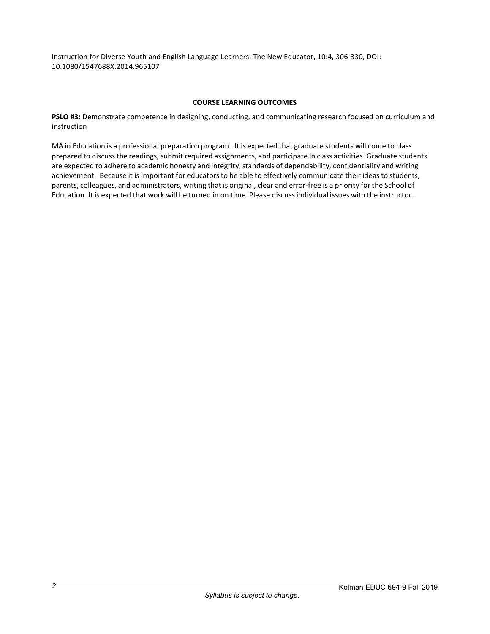Instruction for Diverse Youth and English Language Learners, The New Educator, 10:4, 306-330, DOI: 10.1080/1547688X.2014.965107

#### **COURSE LEARNING OUTCOMES**

<span id="page-3-1"></span><span id="page-3-0"></span>**PSLO #3:** Demonstrate competence in designing, conducting, and communicating research focused on curriculum and instruction

MA in Education is a professional preparation program. It is expected that graduate students will come to class prepared to discussthe readings, submit required assignments, and participate in class activities. Graduate students are expected to adhere to academic honesty and integrity, standards of dependability, confidentiality and writing achievement. Because it is important for educators to be able to effectively communicate their ideas to students, parents, colleagues, and administrators, writing that is original, clear and error-free is a priority for the School of Education. It is expected that work will be turned in on time. Please discussindividual issues with the instructor.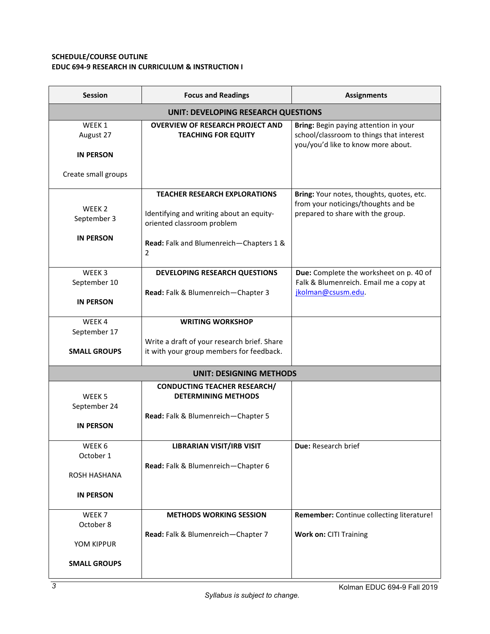# <span id="page-4-0"></span>**SCHEDULE/COURSE OUTLINE EDUC 694-9 RESEARCH IN CURRICULUM & INSTRUCTION I**

| <b>Session</b>                             | <b>Focus and Readings</b>                                                                                      | <b>Assignments</b>                                                                                                      |  |  |
|--------------------------------------------|----------------------------------------------------------------------------------------------------------------|-------------------------------------------------------------------------------------------------------------------------|--|--|
| <b>UNIT: DEVELOPING RESEARCH QUESTIONS</b> |                                                                                                                |                                                                                                                         |  |  |
| WEEK 1<br>August 27                        | <b>OVERVIEW OF RESEARCH PROJECT AND</b><br><b>TEACHING FOR EQUITY</b>                                          | Bring: Begin paying attention in your<br>school/classroom to things that interest<br>you/you'd like to know more about. |  |  |
| <b>IN PERSON</b>                           |                                                                                                                |                                                                                                                         |  |  |
| Create small groups                        |                                                                                                                |                                                                                                                         |  |  |
| WEEK <sub>2</sub><br>September 3           | <b>TEACHER RESEARCH EXPLORATIONS</b><br>Identifying and writing about an equity-<br>oriented classroom problem | Bring: Your notes, thoughts, quotes, etc.<br>from your noticings/thoughts and be<br>prepared to share with the group.   |  |  |
| <b>IN PERSON</b>                           | Read: Falk and Blumenreich-Chapters 1 &<br>$\overline{2}$                                                      |                                                                                                                         |  |  |
| WEEK3<br>September 10                      | <b>DEVELOPING RESEARCH QUESTIONS</b><br>Read: Falk & Blumenreich-Chapter 3                                     | Due: Complete the worksheet on p. 40 of<br>Falk & Blumenreich. Email me a copy at<br>jkolman@csusm.edu                  |  |  |
| <b>IN PERSON</b>                           |                                                                                                                |                                                                                                                         |  |  |
| WEEK4<br>September 17                      | <b>WRITING WORKSHOP</b>                                                                                        |                                                                                                                         |  |  |
| <b>SMALL GROUPS</b>                        | Write a draft of your research brief. Share<br>it with your group members for feedback.                        |                                                                                                                         |  |  |
|                                            | <b>UNIT: DESIGNING METHODS</b>                                                                                 |                                                                                                                         |  |  |
| WEEK <sub>5</sub><br>September 24          | <b>CONDUCTING TEACHER RESEARCH/</b><br><b>DETERMINING METHODS</b>                                              |                                                                                                                         |  |  |
| <b>IN PERSON</b>                           | Read: Falk & Blumenreich-Chapter 5                                                                             |                                                                                                                         |  |  |
| WEEK 6<br>October 1                        | <b>LIBRARIAN VISIT/IRB VISIT</b>                                                                               | Due: Research brief                                                                                                     |  |  |
| ROSH HASHANA                               | Read: Falk & Blumenreich-Chapter 6                                                                             |                                                                                                                         |  |  |
| <b>IN PERSON</b>                           |                                                                                                                |                                                                                                                         |  |  |
| WEEK <sub>7</sub><br>October 8             | <b>METHODS WORKING SESSION</b>                                                                                 | Remember: Continue collecting literature!                                                                               |  |  |
| YOM KIPPUR                                 | Read: Falk & Blumenreich-Chapter 7                                                                             | <b>Work on: CITI Training</b>                                                                                           |  |  |
| <b>SMALL GROUPS</b>                        |                                                                                                                |                                                                                                                         |  |  |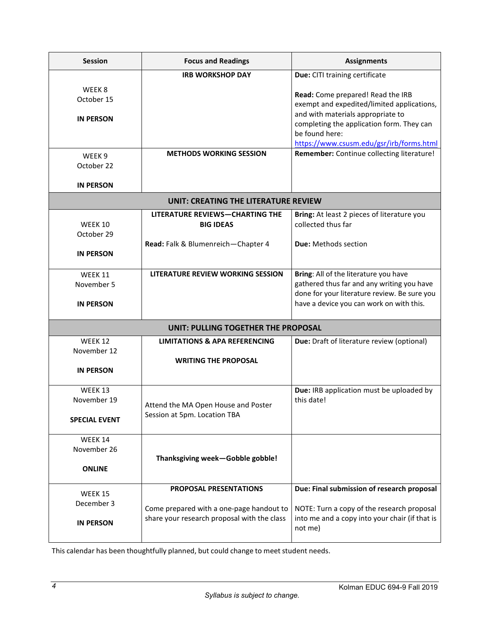| <b>Session</b>                                   | <b>Focus and Readings</b>                                                                                                | <b>Assignments</b>                                                                                                                                                                                                              |  |
|--------------------------------------------------|--------------------------------------------------------------------------------------------------------------------------|---------------------------------------------------------------------------------------------------------------------------------------------------------------------------------------------------------------------------------|--|
|                                                  | <b>IRB WORKSHOP DAY</b>                                                                                                  | Due: CITI training certificate                                                                                                                                                                                                  |  |
| WEEK 8<br>October 15<br><b>IN PERSON</b>         |                                                                                                                          | Read: Come prepared! Read the IRB<br>exempt and expedited/limited applications,<br>and with materials appropriate to<br>completing the application form. They can<br>be found here:<br>https://www.csusm.edu/gsr/irb/forms.html |  |
| WEEK <sub>9</sub><br>October 22                  | <b>METHODS WORKING SESSION</b>                                                                                           | Remember: Continue collecting literature!                                                                                                                                                                                       |  |
| <b>IN PERSON</b>                                 |                                                                                                                          |                                                                                                                                                                                                                                 |  |
|                                                  | UNIT: CREATING THE LITERATURE REVIEW                                                                                     |                                                                                                                                                                                                                                 |  |
| WEEK 10<br>October 29<br><b>IN PERSON</b>        | <b>LITERATURE REVIEWS-CHARTING THE</b><br><b>BIG IDEAS</b><br>Read: Falk & Blumenreich-Chapter 4                         | Bring: At least 2 pieces of literature you<br>collected thus far<br><b>Due:</b> Methods section                                                                                                                                 |  |
| <b>WEEK 11</b><br>November 5<br><b>IN PERSON</b> | LITERATURE REVIEW WORKING SESSION                                                                                        | Bring: All of the literature you have<br>gathered thus far and any writing you have<br>done for your literature review. Be sure you<br>have a device you can work on with this.                                                 |  |
|                                                  | UNIT: PULLING TOGETHER THE PROPOSAL                                                                                      |                                                                                                                                                                                                                                 |  |
| WEEK 12<br>November 12<br><b>IN PERSON</b>       | <b>LIMITATIONS &amp; APA REFERENCING</b><br><b>WRITING THE PROPOSAL</b>                                                  | Due: Draft of literature review (optional)                                                                                                                                                                                      |  |
| WEEK 13<br>November 19<br><b>SPECIAL EVENT</b>   | Attend the MA Open House and Poster<br>Session at 5pm. Location TBA                                                      | Due: IRB application must be uploaded by<br>this date!                                                                                                                                                                          |  |
| WEEK 14<br>November 26<br><b>ONLINE</b>          | Thanksgiving week-Gobble gobble!                                                                                         |                                                                                                                                                                                                                                 |  |
| <b>WEEK 15</b><br>December 3<br><b>IN PERSON</b> | <b>PROPOSAL PRESENTATIONS</b><br>Come prepared with a one-page handout to<br>share your research proposal with the class | Due: Final submission of research proposal<br>NOTE: Turn a copy of the research proposal<br>into me and a copy into your chair (if that is<br>not me)                                                                           |  |

<span id="page-5-0"></span>This calendar has been thoughtfully planned, but could change to meet student needs.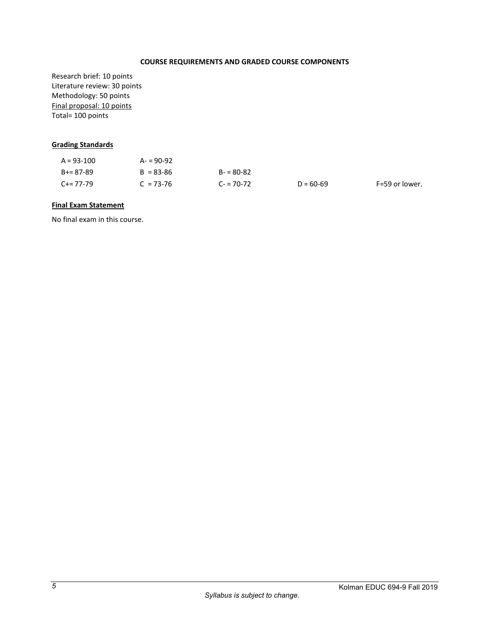## **COURSE REQUIREMENTS AND GRADED COURSE COMPONENTS**

Research brief: 10 points Literature review: 30 points Methodology: 50 points Final proposal: 10 points Total= 100 points

## <span id="page-6-0"></span>**Grading Standards**

| $A = 93 - 100$ | $A - 90 - 92$ |               |             |                |
|----------------|---------------|---------------|-------------|----------------|
| B+= 87-89      | $B = 83 - 86$ | $B - 80 - 82$ |             |                |
| $C+=77-79$     | $C = 73 - 76$ | $C = 70-72$   | $D = 60-69$ | F=59 or lower. |

#### <span id="page-6-1"></span>**Final Exam Statement**

No final exam in this course.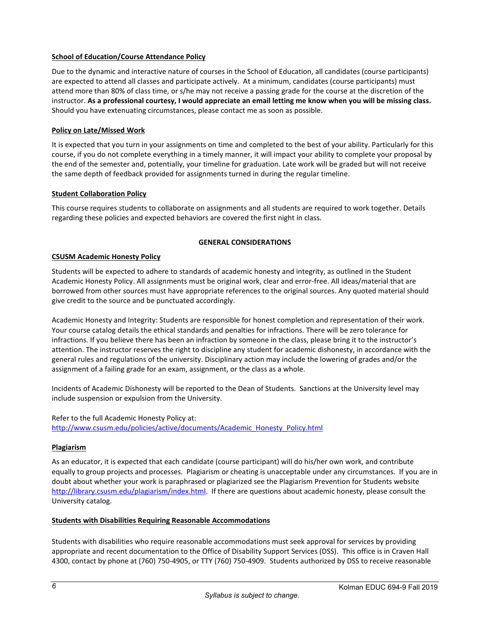## <span id="page-7-0"></span>**School of Education/Course Attendance Policy**

Due to the dynamic and interactive nature of courses in the School of Education, all candidates (course participants) are expected to attend all classes and participate actively. At a minimum, candidates (course participants) must attend more than 80% of class time, or s/he may not receive a passing grade for the course at the discretion of the instructor. **As a professional courtesy, I would appreciate an email letting me know when you will be missing class.** Should you have extenuating circumstances, please contact me as soon as possible.

## <span id="page-7-1"></span>**Policy on Late/Missed Work**

It is expected that you turn in your assignments on time and completed to the best of your ability. Particularly for this course, if you do not complete everything in a timely manner, it will impact your ability to complete your proposal by the end of the semester and, potentially, your timeline for graduation. Late work will be graded but will not receive the same depth of feedback provided for assignments turned in during the regular timeline.

## <span id="page-7-2"></span>**Student Collaboration Policy**

This course requires students to collaborate on assignments and all students are required to work together. Details regarding these policies and expected behaviors are covered the first night in class.

## **GENERAL CONSIDERATIONS**

## <span id="page-7-4"></span><span id="page-7-3"></span>**CSUSM Academic Honesty Policy**

Students will be expected to adhere to standards of academic honesty and integrity, as outlined in the Student Academic Honesty Policy. All assignments must be original work, clear and error-free. All ideas/material that are borrowed from other sources must have appropriate references to the original sources. Any quoted material should give credit to the source and be punctuated accordingly.

Academic Honesty and Integrity: Students are responsible for honest completion and representation of their work. Your course catalog details the ethical standards and penalties for infractions. There will be zero tolerance for infractions. If you believe there has been an infraction by someone in the class, please bring it to the instructor's attention. The instructor reserves the right to discipline any student for academic dishonesty, in accordance with the general rules and regulations of the university. Disciplinary action may include the lowering of grades and/or the assignment of a failing grade for an exam, assignment, or the class as a whole.

Incidents of Academic Dishonesty will be reported to the Dean of Students. Sanctions at the University level may include suspension or expulsion from the University.

Refer to the full Academic Honesty Policy at: [http://www.csusm.edu/policies/active/documents/Academic\\_Honesty\\_Policy.html](http://www.csusm.edu/policies/active/documents/Academic_Honesty_Policy.html)

#### <span id="page-7-5"></span>**Plagiarism**

As an educator, it is expected that each candidate (course participant) will do his/her own work, and contribute equally to group projects and processes. Plagiarism or cheating is unacceptable under any circumstances. If you are in doubt about whether your work is paraphrased or plagiarized see the Plagiarism Prevention for Students website [http://library.csusm.edu/plagiarism/index.html.](http://library.csusm.edu/plagiarism/index.html) If there are questions about academic honesty, please consult the University catalog.

#### <span id="page-7-6"></span>**Students with Disabilities Requiring Reasonable Accommodations**

Students with disabilities who require reasonable accommodations must seek approval for services by providing appropriate and recent documentation to the Office of Disability Support Services (DSS). This office is in Craven Hall 4300, contact by phone at (760) 750-4905, or TTY (760) 750-4909. Students authorized by DSS to receive reasonable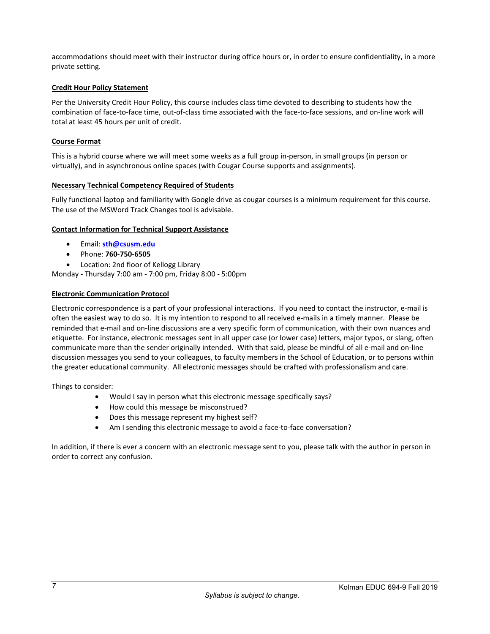accommodations should meet with their instructor during office hours or, in order to ensure confidentiality, in a more private setting.

## **Credit Hour Policy Statement**

Per the University Credit Hour Policy, this course includes class time devoted to describing to students how the combination of face-to-face time, out-of-class time associated with the face-to-face sessions, and on-line work will total at least 45 hours per unit of credit.

#### <span id="page-8-0"></span>**Course Format**

This is a hybrid course where we will meet some weeks as a full group in-person, in small groups (in person or virtually), and in asynchronous online spaces (with Cougar Course supports and assignments).

#### <span id="page-8-1"></span>**Necessary Technical Competency Required of Students**

Fully functional laptop and familiarity with Google drive as cougar courses is a minimum requirement for this course. The use of the MSWord Track Changes tool is advisable.

#### <span id="page-8-2"></span>**Contact Information for Technical Support Assistance**

- Email: **[sth@csusm.edu](mailto:sth@csusm.edu)**
- Phone: **760-750-6505**
- Location: 2nd floor of Kellogg Library

Monday - Thursday 7:00 am - 7:00 pm, Friday 8:00 - 5:00pm

#### <span id="page-8-3"></span>**Electronic Communication Protocol**

Electronic correspondence is a part of your professional interactions. If you need to contact the instructor, e-mail is often the easiest way to do so. It is my intention to respond to all received e-mails in a timely manner. Please be reminded that e-mail and on-line discussions are a very specific form of communication, with their own nuances and etiquette. For instance, electronic messages sent in all upper case (or lower case) letters, major typos, or slang, often communicate more than the sender originally intended. With that said, please be mindful of all e-mail and on-line discussion messages you send to your colleagues, to faculty members in the School of Education, or to persons within the greater educational community. All electronic messages should be crafted with professionalism and care.

Things to consider:

- Would I say in person what this electronic message specifically says?
- How could this message be misconstrued?
- Does this message represent my highest self?
- Am I sending this electronic message to avoid a face-to-face conversation?

In addition, if there is ever a concern with an electronic message sent to you, please talk with the author in person in order to correct any confusion.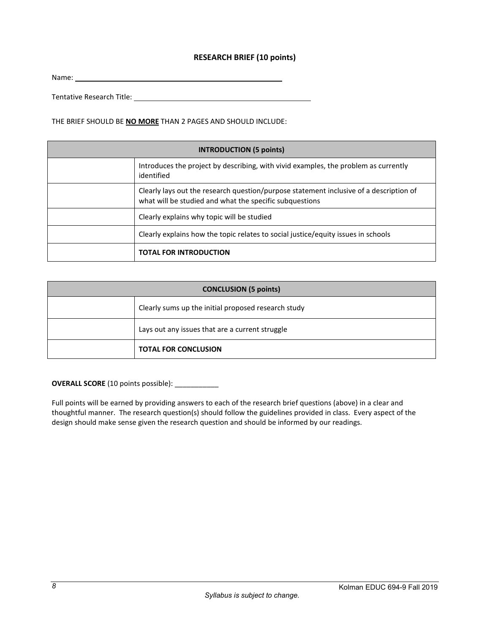## **RESEARCH BRIEF (10 points)**

Name:

Tentative Research Title:

THE BRIEF SHOULD BE **NO MORE** THAN 2 PAGES AND SHOULD INCLUDE:

| <b>INTRODUCTION (5 points)</b> |                                                                                                                                                   |  |
|--------------------------------|---------------------------------------------------------------------------------------------------------------------------------------------------|--|
|                                | Introduces the project by describing, with vivid examples, the problem as currently<br>identified                                                 |  |
|                                | Clearly lays out the research question/purpose statement inclusive of a description of<br>what will be studied and what the specific subquestions |  |
|                                | Clearly explains why topic will be studied                                                                                                        |  |
|                                | Clearly explains how the topic relates to social justice/equity issues in schools                                                                 |  |
|                                | <b>TOTAL FOR INTRODUCTION</b>                                                                                                                     |  |

| <b>CONCLUSION (5 points)</b> |                                                     |
|------------------------------|-----------------------------------------------------|
|                              | Clearly sums up the initial proposed research study |
|                              | Lays out any issues that are a current struggle     |
|                              | <b>TOTAL FOR CONCLUSION</b>                         |

**OVERALL SCORE** (10 points possible): \_\_\_\_\_\_\_\_\_\_\_

Full points will be earned by providing answers to each of the research brief questions (above) in a clear and thoughtful manner. The research question(s) should follow the guidelines provided in class. Every aspect of the design should make sense given the research question and should be informed by our readings.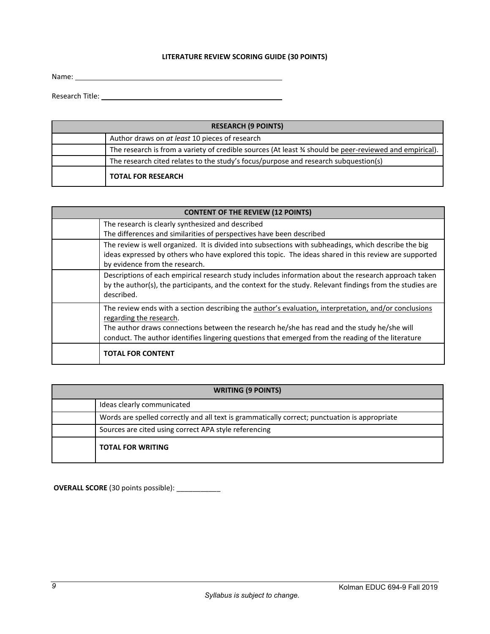## **LITERATURE REVIEW SCORING GUIDE (30 POINTS)**

Name:

Research Title:

| <b>RESEARCH (9 POINTS)</b> |                                                                                                        |  |
|----------------------------|--------------------------------------------------------------------------------------------------------|--|
|                            | Author draws on at least 10 pieces of research                                                         |  |
|                            | The research is from a variety of credible sources (At least % should be peer-reviewed and empirical). |  |
|                            | The research cited relates to the study's focus/purpose and research subquestion(s)                    |  |
|                            | <b>TOTAL FOR RESEARCH</b>                                                                              |  |

| <b>CONTENT OF THE REVIEW (12 POINTS)</b> |                                                                                                                                                                                                                                                                                                                                       |  |
|------------------------------------------|---------------------------------------------------------------------------------------------------------------------------------------------------------------------------------------------------------------------------------------------------------------------------------------------------------------------------------------|--|
|                                          | The research is clearly synthesized and described<br>The differences and similarities of perspectives have been described                                                                                                                                                                                                             |  |
|                                          | The review is well organized. It is divided into subsections with subheadings, which describe the big<br>ideas expressed by others who have explored this topic. The ideas shared in this review are supported<br>by evidence from the research.                                                                                      |  |
|                                          | Descriptions of each empirical research study includes information about the research approach taken<br>by the author(s), the participants, and the context for the study. Relevant findings from the studies are<br>described.                                                                                                       |  |
|                                          | The review ends with a section describing the author's evaluation, interpretation, and/or conclusions<br>regarding the research.<br>The author draws connections between the research he/she has read and the study he/she will<br>conduct. The author identifies lingering questions that emerged from the reading of the literature |  |
|                                          | <b>TOTAL FOR CONTENT</b>                                                                                                                                                                                                                                                                                                              |  |

| <b>WRITING (9 POINTS)</b>                                                                     |  |
|-----------------------------------------------------------------------------------------------|--|
| Ideas clearly communicated                                                                    |  |
| Words are spelled correctly and all text is grammatically correct; punctuation is appropriate |  |
| Sources are cited using correct APA style referencing                                         |  |
| <b>TOTAL FOR WRITING</b>                                                                      |  |

**OVERALL SCORE** (30 points possible): \_\_\_\_\_\_\_\_\_\_\_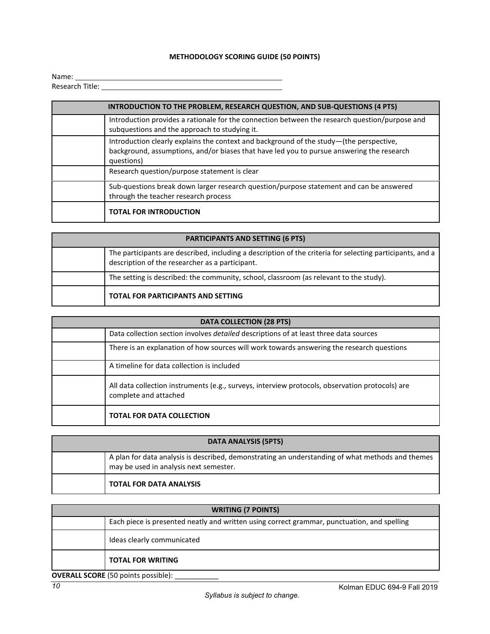# **METHODOLOGY SCORING GUIDE (50 POINTS)**

| Name:           |  |  |
|-----------------|--|--|
| Research Title: |  |  |

| <b>INTRODUCTION TO THE PROBLEM, RESEARCH QUESTION, AND SUB-QUESTIONS (4 PTS)</b>                                                                                                                   |  |  |
|----------------------------------------------------------------------------------------------------------------------------------------------------------------------------------------------------|--|--|
| Introduction provides a rationale for the connection between the research question/purpose and<br>subquestions and the approach to studying it.                                                    |  |  |
| Introduction clearly explains the context and background of the study-(the perspective,<br>background, assumptions, and/or biases that have led you to pursue answering the research<br>questions) |  |  |
| Research question/purpose statement is clear                                                                                                                                                       |  |  |
| Sub-questions break down larger research question/purpose statement and can be answered<br>through the teacher research process                                                                    |  |  |
| <b>TOTAL FOR INTRODUCTION</b>                                                                                                                                                                      |  |  |

| <b>PARTICIPANTS AND SETTING (6 PTS)</b> |                                                                                                                                                              |  |
|-----------------------------------------|--------------------------------------------------------------------------------------------------------------------------------------------------------------|--|
|                                         | The participants are described, including a description of the criteria for selecting participants, and a<br>description of the researcher as a participant. |  |
|                                         | The setting is described: the community, school, classroom (as relevant to the study).                                                                       |  |
|                                         | <b>TOTAL FOR PARTICIPANTS AND SETTING</b>                                                                                                                    |  |

| <b>DATA COLLECTION (28 PTS)</b> |                                                                                                                          |  |
|---------------------------------|--------------------------------------------------------------------------------------------------------------------------|--|
|                                 | Data collection section involves detailed descriptions of at least three data sources                                    |  |
|                                 | There is an explanation of how sources will work towards answering the research questions                                |  |
|                                 | A timeline for data collection is included                                                                               |  |
|                                 | All data collection instruments (e.g., surveys, interview protocols, observation protocols) are<br>complete and attached |  |
|                                 | <b>TOTAL FOR DATA COLLECTION</b>                                                                                         |  |

| <b>DATA ANALYSIS (5PTS)</b> |                                                                                                                                            |  |
|-----------------------------|--------------------------------------------------------------------------------------------------------------------------------------------|--|
|                             | A plan for data analysis is described, demonstrating an understanding of what methods and themes<br>may be used in analysis next semester. |  |
|                             | <b>TOTAL FOR DATA ANALYSIS</b>                                                                                                             |  |

| <b>WRITING (7 POINTS)</b>                  |                                                                                             |  |
|--------------------------------------------|---------------------------------------------------------------------------------------------|--|
|                                            | Each piece is presented neatly and written using correct grammar, punctuation, and spelling |  |
|                                            | Ideas clearly communicated                                                                  |  |
|                                            | <b>TOTAL FOR WRITING</b>                                                                    |  |
| <b>OVERALL SCORE</b> (50 points possible): |                                                                                             |  |